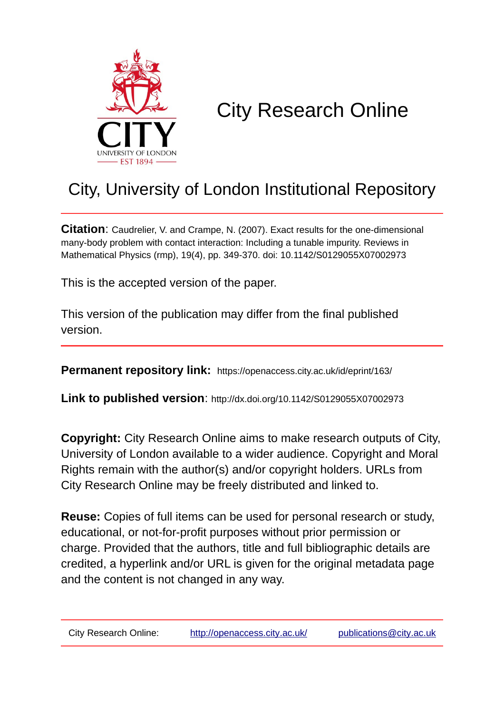

# City Research Online

## City, University of London Institutional Repository

**Citation**: Caudrelier, V. and Crampe, N. (2007). Exact results for the one-dimensional many-body problem with contact interaction: Including a tunable impurity. Reviews in Mathematical Physics (rmp), 19(4), pp. 349-370. doi: 10.1142/S0129055X07002973

This is the accepted version of the paper.

This version of the publication may differ from the final published version.

**Permanent repository link:** https://openaccess.city.ac.uk/id/eprint/163/

**Link to published version**: http://dx.doi.org/10.1142/S0129055X07002973

**Copyright:** City Research Online aims to make research outputs of City, University of London available to a wider audience. Copyright and Moral Rights remain with the author(s) and/or copyright holders. URLs from City Research Online may be freely distributed and linked to.

**Reuse:** Copies of full items can be used for personal research or study, educational, or not-for-profit purposes without prior permission or charge. Provided that the authors, title and full bibliographic details are credited, a hyperlink and/or URL is given for the original metadata page and the content is not changed in any way.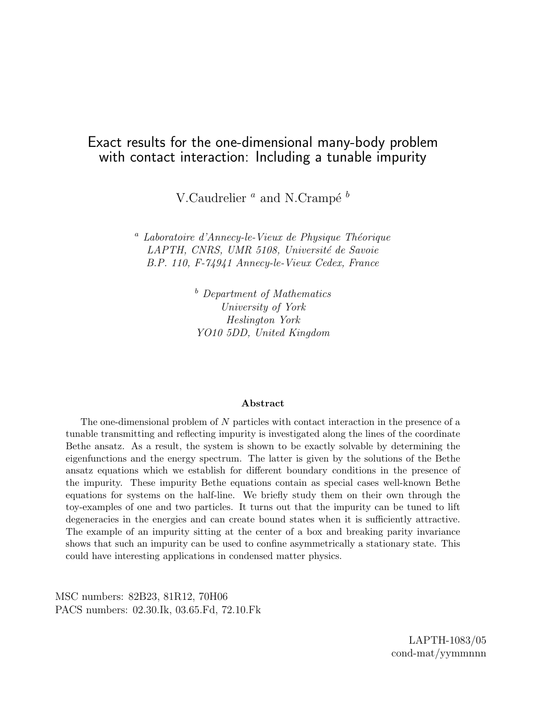## Exact results for the one-dimensional many-body problem with contact interaction: Including a tunable impurity

V.Caudrelier  $^a$  and N.Crampé  $^b$ 

 $a$  Laboratoire d'Annecy-le-Vieux de Physique Théorique LAPTH, CNRS, UMR 5108, Université de Savoie B.P. 110, F-74941 Annecy-le-Vieux Cedex, France

> <sup>b</sup> Department of Mathematics University of York Heslington York YO10 5DD, United Kingdom

#### Abstract

The one-dimensional problem of N particles with contact interaction in the presence of a tunable transmitting and reflecting impurity is investigated along the lines of the coordinate Bethe ansatz. As a result, the system is shown to be exactly solvable by determining the eigenfunctions and the energy spectrum. The latter is given by the solutions of the Bethe ansatz equations which we establish for different boundary conditions in the presence of the impurity. These impurity Bethe equations contain as special cases well-known Bethe equations for systems on the half-line. We briefly study them on their own through the toy-examples of one and two particles. It turns out that the impurity can be tuned to lift degeneracies in the energies and can create bound states when it is sufficiently attractive. The example of an impurity sitting at the center of a box and breaking parity invariance shows that such an impurity can be used to confine asymmetrically a stationary state. This could have interesting applications in condensed matter physics.

MSC numbers: 82B23, 81R12, 70H06 PACS numbers: 02.30.Ik, 03.65.Fd, 72.10.Fk

> LAPTH-1083/05 cond-mat/yymmnnn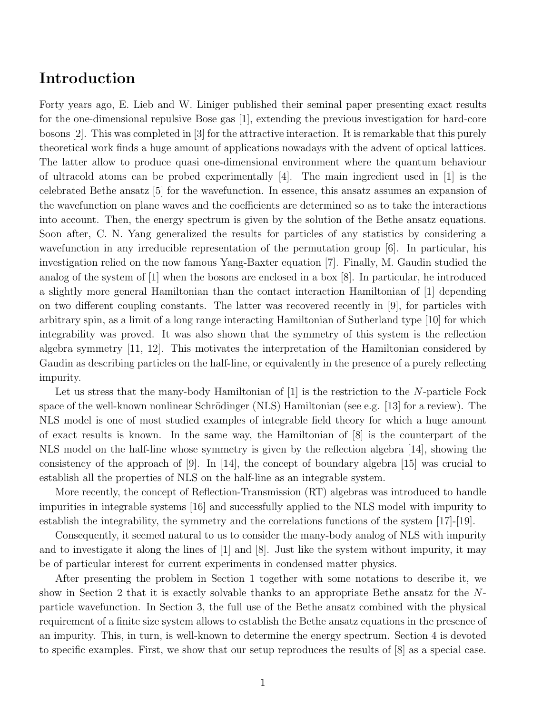## Introduction

Forty years ago, E. Lieb and W. Liniger published their seminal paper presenting exact results for the one-dimensional repulsive Bose gas [1], extending the previous investigation for hard-core bosons [2]. This was completed in [3] for the attractive interaction. It is remarkable that this purely theoretical work finds a huge amount of applications nowadays with the advent of optical lattices. The latter allow to produce quasi one-dimensional environment where the quantum behaviour of ultracold atoms can be probed experimentally  $[4]$ . The main ingredient used in  $[1]$  is the celebrated Bethe ansatz [5] for the wavefunction. In essence, this ansatz assumes an expansion of the wavefunction on plane waves and the coefficients are determined so as to take the interactions into account. Then, the energy spectrum is given by the solution of the Bethe ansatz equations. Soon after, C. N. Yang generalized the results for particles of any statistics by considering a wavefunction in any irreducible representation of the permutation group [6]. In particular, his investigation relied on the now famous Yang-Baxter equation [7]. Finally, M. Gaudin studied the analog of the system of [1] when the bosons are enclosed in a box [8]. In particular, he introduced a slightly more general Hamiltonian than the contact interaction Hamiltonian of [1] depending on two different coupling constants. The latter was recovered recently in [9], for particles with arbitrary spin, as a limit of a long range interacting Hamiltonian of Sutherland type [10] for which integrability was proved. It was also shown that the symmetry of this system is the reflection algebra symmetry [11, 12]. This motivates the interpretation of the Hamiltonian considered by Gaudin as describing particles on the half-line, or equivalently in the presence of a purely reflecting impurity.

Let us stress that the many-body Hamiltonian of  $[1]$  is the restriction to the N-particle Fock space of the well-known nonlinear Schrödinger (NLS) Hamiltonian (see e.g. [13] for a review). The NLS model is one of most studied examples of integrable field theory for which a huge amount of exact results is known. In the same way, the Hamiltonian of [8] is the counterpart of the NLS model on the half-line whose symmetry is given by the reflection algebra [14], showing the consistency of the approach of  $[9]$ . In  $[14]$ , the concept of boundary algebra  $[15]$  was crucial to establish all the properties of NLS on the half-line as an integrable system.

More recently, the concept of Reflection-Transmission (RT) algebras was introduced to handle impurities in integrable systems [16] and successfully applied to the NLS model with impurity to establish the integrability, the symmetry and the correlations functions of the system [17]-[19].

Consequently, it seemed natural to us to consider the many-body analog of NLS with impurity and to investigate it along the lines of [1] and [8]. Just like the system without impurity, it may be of particular interest for current experiments in condensed matter physics.

After presenting the problem in Section 1 together with some notations to describe it, we show in Section 2 that it is exactly solvable thanks to an appropriate Bethe ansatz for the Nparticle wavefunction. In Section 3, the full use of the Bethe ansatz combined with the physical requirement of a finite size system allows to establish the Bethe ansatz equations in the presence of an impurity. This, in turn, is well-known to determine the energy spectrum. Section 4 is devoted to specific examples. First, we show that our setup reproduces the results of [8] as a special case.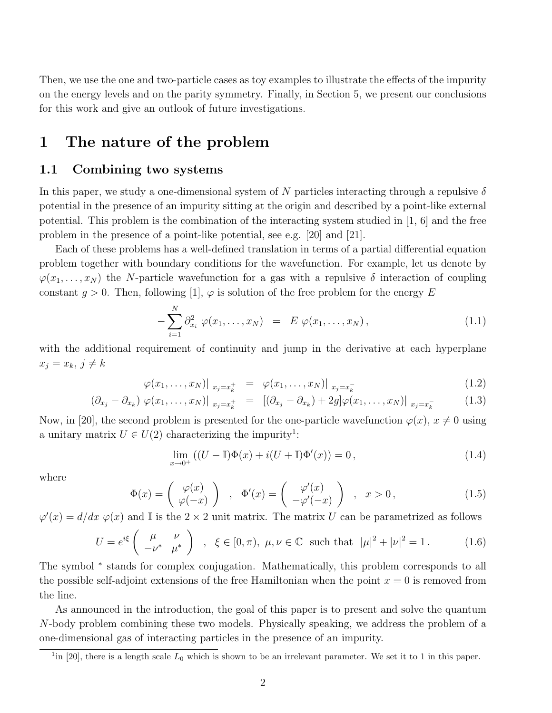Then, we use the one and two-particle cases as toy examples to illustrate the effects of the impurity on the energy levels and on the parity symmetry. Finally, in Section 5, we present our conclusions for this work and give an outlook of future investigations.

## 1 The nature of the problem

#### 1.1 Combining two systems

In this paper, we study a one-dimensional system of N particles interacting through a repulsive  $\delta$ potential in the presence of an impurity sitting at the origin and described by a point-like external potential. This problem is the combination of the interacting system studied in [1, 6] and the free problem in the presence of a point-like potential, see e.g. [20] and [21].

Each of these problems has a well-defined translation in terms of a partial differential equation problem together with boundary conditions for the wavefunction. For example, let us denote by  $\varphi(x_1, \ldots, x_N)$  the N-particle wavefunction for a gas with a repulsive  $\delta$  interaction of coupling constant  $g > 0$ . Then, following [1],  $\varphi$  is solution of the free problem for the energy E

$$
-\sum_{i=1}^{N} \partial_{x_i}^{2} \varphi(x_1, \dots, x_N) = E \varphi(x_1, \dots, x_N), \qquad (1.1)
$$

with the additional requirement of continuity and jump in the derivative at each hyperplane  $x_j = x_k, j \neq k$ 

$$
\varphi(x_1, \ldots, x_N)|_{x_j = x_k^+} = \varphi(x_1, \ldots, x_N)|_{x_j = x_k^-}
$$
\n(1.2)

$$
(\partial_{x_j} - \partial_{x_k}) \varphi(x_1, \dots, x_N)|_{x_j = x_k^+} = [(\partial_{x_j} - \partial_{x_k}) + 2g] \varphi(x_1, \dots, x_N)|_{x_j = x_k^-}
$$
(1.3)

Now, in [20], the second problem is presented for the one-particle wavefunction  $\varphi(x)$ ,  $x \neq 0$  using a unitary matrix  $U \in U(2)$  characterizing the impurity<sup>1</sup>:

$$
\lim_{x \to 0^+} ((U - \mathbb{I})\Phi(x) + i(U + \mathbb{I})\Phi'(x)) = 0,
$$
\n(1.4)

where

$$
\Phi(x) = \begin{pmatrix} \varphi(x) \\ \varphi(-x) \end{pmatrix} , \quad \Phi'(x) = \begin{pmatrix} \varphi'(x) \\ -\varphi'(-x) \end{pmatrix} , \quad x > 0, \quad (1.5)
$$

 $\varphi'(x) = d/dx \varphi(x)$  and I is the  $2 \times 2$  unit matrix. The matrix U can be parametrized as follows  $\mathbf{r}$ 

$$
U = e^{i\xi} \begin{pmatrix} \mu & \nu \\ -\nu^* & \mu^* \end{pmatrix} , \xi \in [0, \pi), \mu, \nu \in \mathbb{C} \text{ such that } |\mu|^2 + |\nu|^2 = 1.
$$
 (1.6)

The symbol <sup>\*</sup> stands for complex conjugation. Mathematically, this problem corresponds to all the possible self-adjoint extensions of the free Hamiltonian when the point  $x = 0$  is removed from the line.

As announced in the introduction, the goal of this paper is to present and solve the quantum N-body problem combining these two models. Physically speaking, we address the problem of a one-dimensional gas of interacting particles in the presence of an impurity.

<sup>&</sup>lt;sup>1</sup>in [20], there is a length scale  $L_0$  which is shown to be an irrelevant parameter. We set it to 1 in this paper.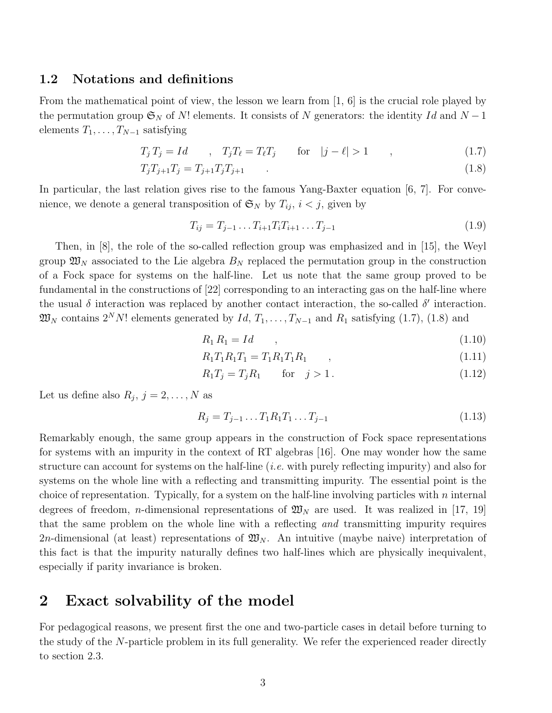### 1.2 Notations and definitions

From the mathematical point of view, the lesson we learn from [1, 6] is the crucial role played by the permutation group  $\mathfrak{S}_N$  of N! elements. It consists of N generators: the identity Id and N – 1 elements  $T_1, \ldots, T_{N-1}$  satisfying

$$
T_j T_j = Id \t, \t T_j T_\ell = T_\ell T_j \t \text{for} \t |j - \ell| > 1 \t , \t (1.7)
$$

$$
T_j T_{j+1} T_j = T_{j+1} T_j T_{j+1} \tag{1.8}
$$

In particular, the last relation gives rise to the famous Yang-Baxter equation [6, 7]. For convenience, we denote a general transposition of  $\mathfrak{S}_N$  by  $T_{ij}$ ,  $i < j$ , given by

$$
T_{ij} = T_{j-1} \dots T_{i+1} T_i T_{i+1} \dots T_{j-1} \tag{1.9}
$$

Then, in [8], the role of the so-called reflection group was emphasized and in [15], the Weyl group  $\mathfrak{W}_N$  associated to the Lie algebra  $B_N$  replaced the permutation group in the construction of a Fock space for systems on the half-line. Let us note that the same group proved to be fundamental in the constructions of [22] corresponding to an interacting gas on the half-line where the usual  $\delta$  interaction was replaced by another contact interaction, the so-called  $\delta'$  interaction.  $\mathfrak{W}_N$  contains  $2^N N!$  elements generated by  $Id, T_1, \ldots, T_{N-1}$  and  $R_1$  satisfying (1.7), (1.8) and

$$
R_1 R_1 = Id \t\t(1.10)
$$

$$
R_1 T_1 R_1 T_1 = T_1 R_1 T_1 R_1 , \qquad , \qquad (1.11)
$$

$$
R_1 T_j = T_j R_1 \qquad \text{for} \quad j > 1. \tag{1.12}
$$

Let us define also  $R_j$ ,  $j = 2, ..., N$  as

$$
R_j = T_{j-1} \dots T_1 R_1 T_1 \dots T_{j-1} \tag{1.13}
$$

Remarkably enough, the same group appears in the construction of Fock space representations for systems with an impurity in the context of RT algebras [16]. One may wonder how the same structure can account for systems on the half-line (i.e. with purely reflecting impurity) and also for systems on the whole line with a reflecting and transmitting impurity. The essential point is the choice of representation. Typically, for a system on the half-line involving particles with  $n$  internal degrees of freedom, *n*-dimensional representations of  $\mathfrak{W}_N$  are used. It was realized in [17, 19] that the same problem on the whole line with a reflecting and transmitting impurity requires 2*n*-dimensional (at least) representations of  $\mathfrak{W}_N$ . An intuitive (maybe naive) interpretation of this fact is that the impurity naturally defines two half-lines which are physically inequivalent, especially if parity invariance is broken.

## 2 Exact solvability of the model

For pedagogical reasons, we present first the one and two-particle cases in detail before turning to the study of the N-particle problem in its full generality. We refer the experienced reader directly to section 2.3.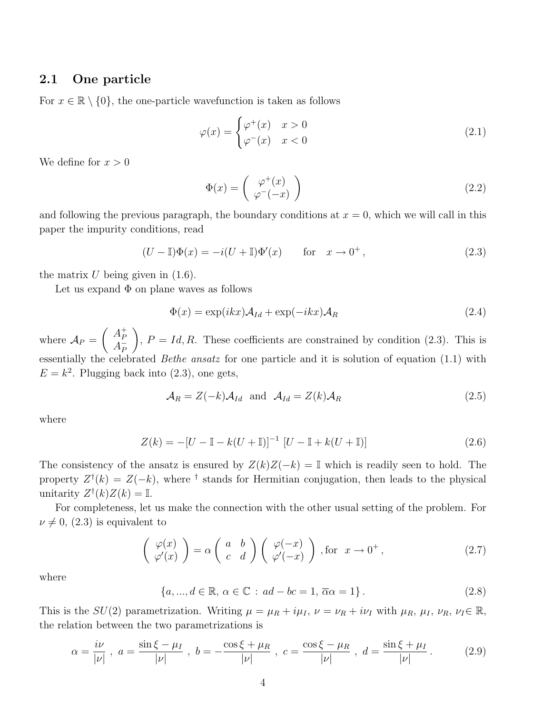## 2.1 One particle

For  $x \in \mathbb{R} \setminus \{0\}$ , the one-particle wavefunction is taken as follows

$$
\varphi(x) = \begin{cases} \varphi^+(x) & x > 0 \\ \varphi^-(x) & x < 0 \end{cases}
$$
\n(2.1)

We define for  $x > 0$ 

$$
\Phi(x) = \begin{pmatrix} \varphi^+(x) \\ \varphi^-(-x) \end{pmatrix} \tag{2.2}
$$

and following the previous paragraph, the boundary conditions at  $x = 0$ , which we will call in this paper the impurity conditions, read

$$
(U - \mathbb{I})\Phi(x) = -i(U + \mathbb{I})\Phi'(x) \quad \text{for} \quad x \to 0^+, \tag{2.3}
$$

the matrix  $U$  being given in  $(1.6)$ .

Let us expand  $\Phi$  on plane waves as follows

$$
\Phi(x) = \exp(ikx)\mathcal{A}_{Id} + \exp(-ikx)\mathcal{A}_R
$$
\n(2.4)

where  $\mathcal{A}_P =$  $\overline{a}$  $A_P^+$  $\frac{A_P}{A_P}$ P  $\mathbf{r}$ ,  $P = Id, R$ . These coefficients are constrained by condition (2.3). This is essentially the celebrated Bethe ansatz for one particle and it is solution of equation (1.1) with  $E = k^2$ . Plugging back into (2.3), one gets,

$$
\mathcal{A}_R = Z(-k)\mathcal{A}_{Id} \text{ and } \mathcal{A}_{Id} = Z(k)\mathcal{A}_R
$$
\n(2.5)

where

$$
Z(k) = -[U - \mathbb{I} - k(U + \mathbb{I})]^{-1} [U - \mathbb{I} + k(U + \mathbb{I})]
$$
\n(2.6)

The consistency of the ansatz is ensured by  $Z(k)Z(-k) = \mathbb{I}$  which is readily seen to hold. The property  $Z^{\dagger}(k) = Z(-k)$ , where <sup>†</sup> stands for Hermitian conjugation, then leads to the physical unitarity  $Z^{\dagger}(k)Z(k) = \mathbb{I}$ .

For completeness, let us make the connection with the other usual setting of the problem. For  $\nu \neq 0$ , (2.3) is equivalent to

$$
\begin{pmatrix}\n\varphi(x) \\
\varphi'(x)\n\end{pmatrix} = \alpha \begin{pmatrix}\na & b \\
c & d\n\end{pmatrix} \begin{pmatrix}\n\varphi(-x) \\
\varphi'(-x)\n\end{pmatrix}, \text{for } x \to 0^+,
$$
\n(2.7)

where

 ${a, ..., d \in \mathbb{R}, \alpha \in \mathbb{C} : ad - bc = 1, \overline{\alpha}\alpha = 1}.$  (2.8)

This is the  $SU(2)$  parametrization. Writing  $\mu = \mu_R + i\mu_I$ ,  $\nu = \nu_R + i\nu_I$  with  $\mu_R$ ,  $\mu_I$ ,  $\nu_R$ ,  $\nu_I \in \mathbb{R}$ , the relation between the two parametrizations is

$$
\alpha = \frac{i\nu}{|\nu|} \; , \; a = \frac{\sin\xi - \mu_I}{|\nu|} \; , \; b = -\frac{\cos\xi + \mu_R}{|\nu|} \; , \; c = \frac{\cos\xi - \mu_R}{|\nu|} \; , \; d = \frac{\sin\xi + \mu_I}{|\nu|} \; . \tag{2.9}
$$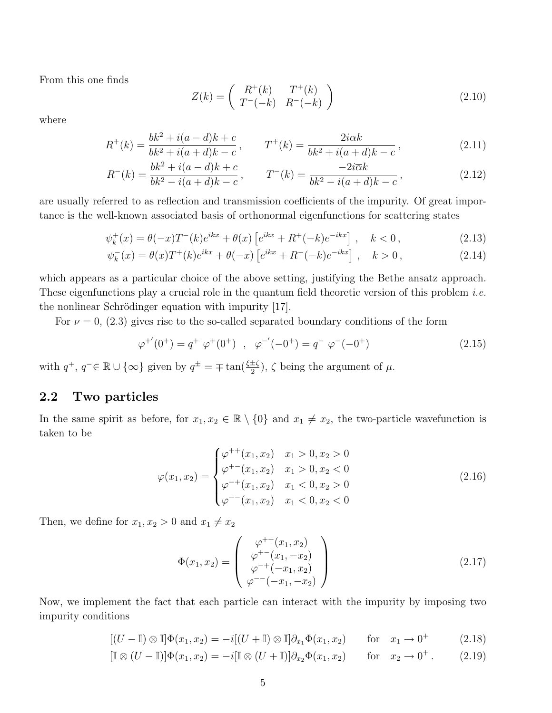From this one finds

$$
Z(k) = \begin{pmatrix} R^+(k) & T^+(k) \\ T^-(-k) & R^-(-k) \end{pmatrix}
$$
 (2.10)

where

$$
R^{+}(k) = \frac{bk^{2} + i(a - d)k + c}{bk^{2} + i(a + d)k - c}, \qquad T^{+}(k) = \frac{2i\alpha k}{bk^{2} + i(a + d)k - c},
$$
\n(2.11)

$$
R^{-}(k) = \frac{bk^{2} + i(a - d)k + c}{bk^{2} - i(a + d)k - c}, \qquad T^{-}(k) = \frac{-2i\overline{\alpha}k}{bk^{2} - i(a + d)k - c},
$$
\n(2.12)

are usually referred to as reflection and transmission coefficients of the impurity. Of great importance is the well-known associated basis of orthonormal eigenfunctions for scattering states

$$
\psi_k^+(x) = \theta(-x)T^-(k)e^{ikx} + \theta(x)\left[e^{ikx} + R^+(-k)e^{-ikx}\right], \quad k < 0,
$$
\n(2.13)

$$
\psi_k^-(x) = \theta(x)T^+(k)e^{ikx} + \theta(-x)\left[e^{ikx} + R^-(-k)e^{-ikx}\right], \quad k > 0,
$$
\n(2.14)

which appears as a particular choice of the above setting, justifying the Bethe ansatz approach. These eigenfunctions play a crucial role in the quantum field theoretic version of this problem *i.e.* the nonlinear Schrödinger equation with impurity  $[17]$ .

For  $\nu = 0$ , (2.3) gives rise to the so-called separated boundary conditions of the form

$$
\varphi^{+'}(0^{+}) = q^{+} \varphi^{+}(0^{+}) \quad , \quad \varphi^{-'}(-0^{+}) = q^{-} \varphi^{-}(-0^{+}) \tag{2.15}
$$

with  $q^+$ ,  $q^- \in \mathbb{R} \cup \{\infty\}$  given by  $q^{\pm} = \mp \tan(\frac{\xi \pm \zeta}{2})$ ,  $\zeta$  being the argument of  $\mu$ .

## 2.2 Two particles

In the same spirit as before, for  $x_1, x_2 \in \mathbb{R} \setminus \{0\}$  and  $x_1 \neq x_2$ , the two-particle wavefunction is taken to be

$$
\varphi(x_1, x_2) = \begin{cases}\n\varphi^{++}(x_1, x_2) & x_1 > 0, x_2 > 0 \\
\varphi^{+-}(x_1, x_2) & x_1 > 0, x_2 < 0 \\
\varphi^{-+}(x_1, x_2) & x_1 < 0, x_2 > 0 \\
\varphi^{--}(x_1, x_2) & x_1 < 0, x_2 < 0\n\end{cases}
$$
\n(2.16)

Then, we define for  $x_1, x_2 > 0$  and  $x_1 \neq x_2$ 

$$
\Phi(x_1, x_2) = \begin{pmatrix} \varphi^{++}(x_1, x_2) \\ \varphi^{+-}(x_1, -x_2) \\ \varphi^{-+}(-x_1, x_2) \\ \varphi^{--}(-x_1, -x_2) \end{pmatrix}
$$
\n(2.17)

Now, we implement the fact that each particle can interact with the impurity by imposing two impurity conditions

$$
[(U - \mathbb{I}) \otimes \mathbb{I}]\Phi(x_1, x_2) = -i[(U + \mathbb{I}) \otimes \mathbb{I}]\partial_{x_1}\Phi(x_1, x_2) \quad \text{for} \quad x_1 \to 0^+ \quad (2.18)
$$

$$
[\mathbb{I} \otimes (U - \mathbb{I})] \Phi(x_1, x_2) = -i[\mathbb{I} \otimes (U + \mathbb{I})] \partial_{x_2} \Phi(x_1, x_2) \quad \text{for} \quad x_2 \to 0^+.
$$
 (2.19)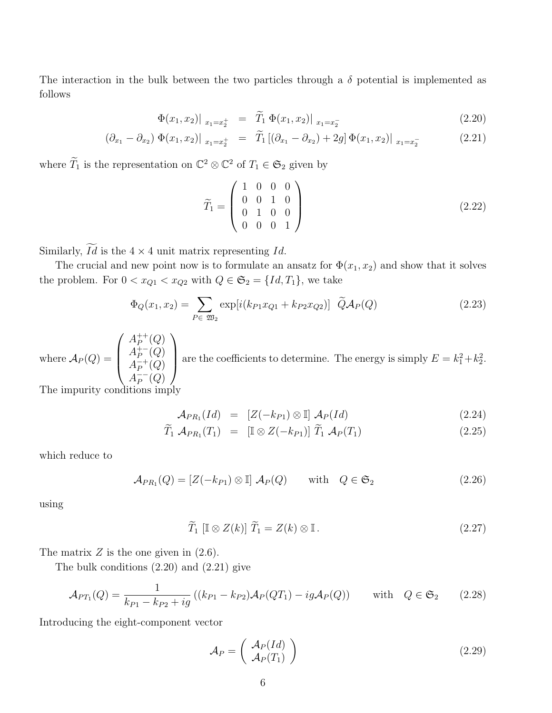The interaction in the bulk between the two particles through a  $\delta$  potential is implemented as follows

$$
\Phi(x_1, x_2)|_{x_1 = x_2^+} = \widetilde{T}_1 \Phi(x_1, x_2)|_{x_1 = x_2^-}
$$
\n(2.20)

$$
(\partial_{x_1} - \partial_{x_2}) \Phi(x_1, x_2)|_{x_1 = x_2^+} = \tilde{T}_1 [(\partial_{x_1} - \partial_{x_2}) + 2g] \Phi(x_1, x_2)|_{x_1 = x_2^-}
$$
(2.21)

where  $\widetilde{T}_1$  is the representation on  $\mathbb{C}^2 \otimes \mathbb{C}^2$  of  $T_1 \in \mathfrak{S}_2$  given by

$$
\widetilde{T}_1 = \left(\begin{array}{cccc} 1 & 0 & 0 & 0 \\ 0 & 0 & 1 & 0 \\ 0 & 1 & 0 & 0 \\ 0 & 0 & 0 & 1 \end{array}\right) \tag{2.22}
$$

Similarly,  $\widetilde{Id}$  is the  $4 \times 4$  unit matrix representing Id.

The crucial and new point now is to formulate an ansatz for  $\Phi(x_1, x_2)$  and show that it solves the problem. For  $0 < x_{Q1} < x_{Q2}$  with  $Q \in \mathfrak{S}_2 = \{Id, T_1\}$ , we take

$$
\Phi_Q(x_1, x_2) = \sum_{P \in \mathfrak{W}_2} \exp[i(k_{P1} x_{Q1} + k_{P2} x_{Q2})] \widetilde{Q} \mathcal{A}_P(Q) \tag{2.23}
$$

where  $\mathcal{A}_P(Q) =$  $\overline{a}$  $\begin{array}{c} \hline \end{array}$  $A_P^{++}$  $_{P}^{++}(Q)$  $A_P^{\ddag -}$  $_P^{+-}(Q)$  $A_P^{-+}$  $^{-+}_{P}(Q)$  $A_P^{--}$  $_P^{--}(Q)$  $\mathbf{r}$ are the coefficients to determine. The energy is simply  $E = k_1^2 + k_2^2$ .

The impurity conditions imply

$$
\mathcal{A}_{PR_1}(Id) = [Z(-k_{P1}) \otimes \mathbb{I}] \mathcal{A}_P(Id) \qquad (2.24)
$$

$$
\widetilde{T}_1 \mathcal{A}_{PR_1}(T_1) = [\mathbb{I} \otimes Z(-k_{P1})] \widetilde{T}_1 \mathcal{A}_P(T_1)
$$
\n(2.25)

which reduce to

$$
\mathcal{A}_{PR_1}(Q) = [Z(-k_{P1}) \otimes \mathbb{I}] \mathcal{A}_P(Q) \quad \text{with} \quad Q \in \mathfrak{S}_2 \tag{2.26}
$$

using

$$
\widetilde{T}_1 \left[ \mathbb{I} \otimes Z(k) \right] \widetilde{T}_1 = Z(k) \otimes \mathbb{I} \,. \tag{2.27}
$$

The matrix  $Z$  is the one given in  $(2.6)$ .

The bulk conditions (2.20) and (2.21) give

$$
\mathcal{A}_{PT_1}(Q) = \frac{1}{k_{P1} - k_{P2} + ig} \left( (k_{P1} - k_{P2}) \mathcal{A}_P(QT_1) - ig \mathcal{A}_P(Q) \right) \quad \text{with} \quad Q \in \mathfrak{S}_2 \tag{2.28}
$$

Introducing the eight-component vector

$$
\mathcal{A}_P = \left( \begin{array}{c} \mathcal{A}_P(Id) \\ \mathcal{A}_P(T_1) \end{array} \right) \tag{2.29}
$$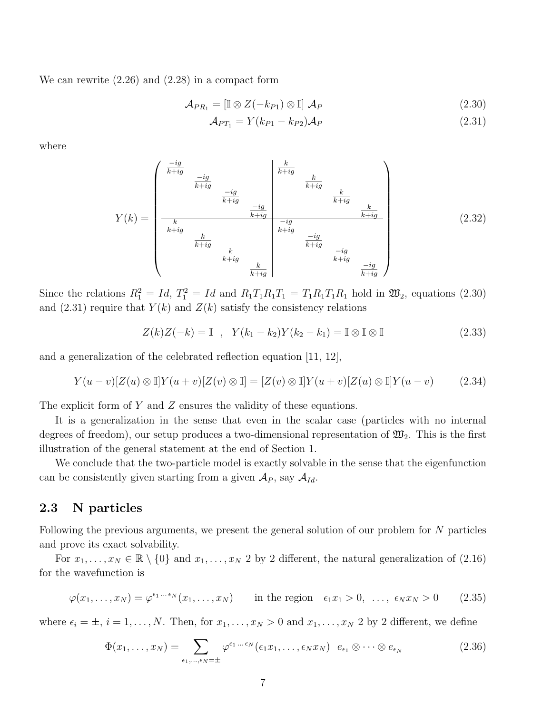We can rewrite (2.26) and (2.28) in a compact form

$$
\mathcal{A}_{PR_1} = \left[ \mathbb{I} \otimes Z(-k_{P1}) \otimes \mathbb{I} \right] \mathcal{A}_P \tag{2.30}
$$

$$
\mathcal{A}_{PT_1} = Y(k_{P1} - k_{P2})\mathcal{A}_P \tag{2.31}
$$

where

$$
Y(k) = \begin{pmatrix} \frac{-ig}{k+ig} & \frac{-ig}{k+ig} & \frac{k}{k+ig} \\ \frac{-ig}{k+ig} & \frac{-ig}{k+ig} & \frac{k}{k+ig} \\ \frac{k}{k+ig} & \frac{-ig}{k+ig} & \frac{-ig}{k+ig} \\ \frac{k}{k+ig} & \frac{k}{k+ig} & \frac{-ig}{k+ig} \\ \frac{k}{k+ig} & \frac{k}{k+ig} & \frac{-ig}{k+ig} \\ \frac{k}{k+ig} & \frac{k}{k+ig} & \frac{-ig}{k+ig} \end{pmatrix} \tag{2.32}
$$

Since the relations  $R_1^2 = Id$ ,  $T_1^2 = Id$  and  $R_1T_1R_1T_1 = T_1R_1T_1R_1$  hold in  $\mathfrak{W}_2$ , equations (2.30) and (2.31) require that  $Y(k)$  and  $Z(k)$  satisfy the consistency relations

$$
Z(k)Z(-k) = \mathbb{I} \quad , \quad Y(k_1 - k_2)Y(k_2 - k_1) = \mathbb{I} \otimes \mathbb{I} \otimes \mathbb{I} \tag{2.33}
$$

and a generalization of the celebrated reflection equation [11, 12],

$$
Y(u-v)[Z(u)\otimes \mathbb{I}]Y(u+v)[Z(v)\otimes \mathbb{I}] = [Z(v)\otimes \mathbb{I}]Y(u+v)[Z(u)\otimes \mathbb{I}]Y(u-v) \tag{2.34}
$$

The explicit form of Y and Z ensures the validity of these equations.

It is a generalization in the sense that even in the scalar case (particles with no internal degrees of freedom), our setup produces a two-dimensional representation of  $\mathfrak{W}_2$ . This is the first illustration of the general statement at the end of Section 1.

We conclude that the two-particle model is exactly solvable in the sense that the eigenfunction can be consistently given starting from a given  $\mathcal{A}_P$ , say  $\mathcal{A}_{Id}$ .

#### 2.3 N particles

Following the previous arguments, we present the general solution of our problem for N particles and prove its exact solvability.

For  $x_1, \ldots, x_N \in \mathbb{R} \setminus \{0\}$  and  $x_1, \ldots, x_N$  2 by 2 different, the natural generalization of (2.16) for the wavefunction is

$$
\varphi(x_1, \ldots, x_N) = \varphi^{\epsilon_1 \ldots \epsilon_N}(x_1, \ldots, x_N) \quad \text{in the region } \epsilon_1 x_1 > 0, \ldots, \epsilon_N x_N > 0 \quad (2.35)
$$

where  $\epsilon_i = \pm$ ,  $i = 1, \ldots, N$ . Then, for  $x_1, \ldots, x_N > 0$  and  $x_1, \ldots, x_N$  2 by 2 different, we define

$$
\Phi(x_1,\ldots,x_N) = \sum_{\epsilon_1,\ldots,\epsilon_N=\pm} \varphi^{\epsilon_1\ldots\epsilon_N}(\epsilon_1 x_1,\ldots,\epsilon_N x_N) \quad e_{\epsilon_1} \otimes \cdots \otimes e_{\epsilon_N}
$$
\n(2.36)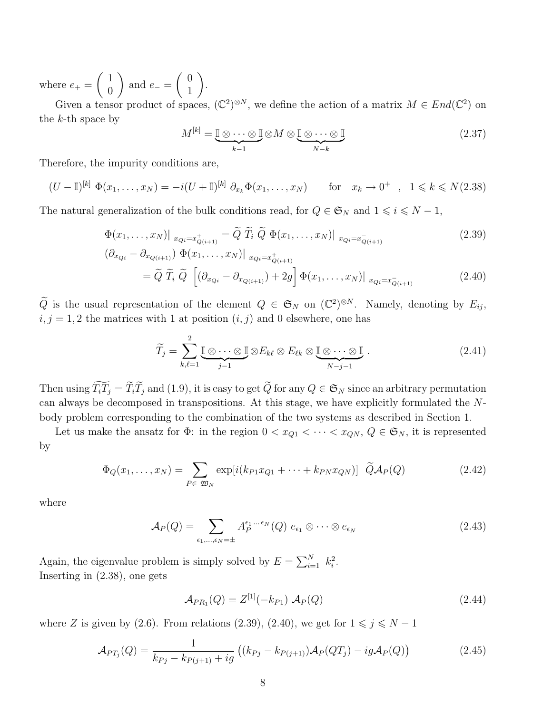where  $e_+$  =  $\overline{a}$ 1 0  $\mathbf{r}$ and  $e_-=$  $\overline{a}$ 0 1  $\mathbf{r}$ .

Given a tensor product of spaces,  $(\mathbb{C}^2)^{\otimes N}$ , we define the action of a matrix  $M \in End(\mathbb{C}^2)$  on the  $k$ -th space by

$$
M^{[k]} = \underbrace{\mathbb{I} \otimes \cdots \otimes \mathbb{I}}_{k-1} \otimes M \otimes \underbrace{\mathbb{I} \otimes \cdots \otimes \mathbb{I}}_{N-k}
$$
(2.37)

Therefore, the impurity conditions are,

$$
(U - \mathbb{I})^{[k]} \Phi(x_1, \dots, x_N) = -i(U + \mathbb{I})^{[k]} \partial_{x_k} \Phi(x_1, \dots, x_N) \quad \text{for} \quad x_k \to 0^+ , \quad 1 \leq k \leq N(2.38)
$$

The natural generalization of the bulk conditions read, for  $Q \in \mathfrak{S}_N$  and  $1 \leq i \leq N - 1$ ,

$$
\Phi(x_1, \dots, x_N)|_{x_{Qi} = x_{Q(i+1)}^+} = \widetilde{Q} \widetilde{T}_i \widetilde{Q} \Phi(x_1, \dots, x_N)|_{x_{Qi} = x_{Q(i+1)}^-}
$$
\n(2.39)

$$
\begin{aligned} \left(\partial_{x_{Q_i}} - \partial_{x_{Q(i+1)}}\right) \, \Phi(x_1, \dots, x_N) \big| \, \, x_{Q_i = x_{Q(i+1)}^+} \\ &= \widetilde{Q} \, \, \widetilde{T}_i \, \, \widetilde{Q} \, \, \left[ \left(\partial_{x_{Q_i}} - \partial_{x_{Q(i+1)}}\right) + 2g \right] \Phi(x_1, \dots, x_N) \big| \, \, x_{Q_i = x_{Q(i+1)}^-} \end{aligned} \tag{2.40}
$$

 $\widetilde{Q}$  is the usual representation of the element  $Q \in \mathfrak{S}_N$  on  $(\mathbb{C}^2)^{\otimes N}$ . Namely, denoting by  $E_{ij}$ ,  $i, j = 1, 2$  the matrices with 1 at position  $(i, j)$  and 0 elsewhere, one has

$$
\widetilde{T}_j = \sum_{k,\ell=1}^2 \underbrace{\mathbb{I} \otimes \cdots \otimes \mathbb{I}}_{j-1} \otimes E_{k\ell} \otimes E_{\ell k} \otimes \underbrace{\mathbb{I} \otimes \cdots \otimes \mathbb{I}}_{N-j-1} .
$$
\n(2.41)

Then using  $\widetilde{T_iT_j} = \widetilde{T_i}\widetilde{T_j}$  and (1.9), it is easy to get  $\widetilde{Q}$  for any  $Q \in \mathfrak{S}_N$  since an arbitrary permutation can always be decomposed in transpositions. At this stage, we have explicitly formulated the Nbody problem corresponding to the combination of the two systems as described in Section 1.

Let us make the ansatz for  $\Phi$ : in the region  $0 < x_{Q1} < \cdots < x_{QN}$ ,  $Q \in \mathfrak{S}_N$ , it is represented by

$$
\Phi_Q(x_1,\ldots,x_N) = \sum_{P \in \mathfrak{W}_N} \exp[i(k_{P1}x_{Q1} + \cdots + k_{PN}x_{QN})] \widetilde{Q} \mathcal{A}_P(Q)
$$
\n(2.42)

where

$$
\mathcal{A}_P(Q) = \sum_{\epsilon_1,\dots,\epsilon_N=\pm} A_P^{\epsilon_1\dots\epsilon_N}(Q) \ e_{\epsilon_1} \otimes \dots \otimes e_{\epsilon_N}
$$
 (2.43)

Again, the eigenvalue problem is simply solved by  $E = \sum_{i=1}^{N}$  $\sum_{i=1}^{N} k_i^2$ . Inserting in (2.38), one gets

$$
\mathcal{A}_{PR_1}(Q) = Z^{[1]}(-k_{P1}) \mathcal{A}_P(Q) \tag{2.44}
$$

where Z is given by (2.6). From relations (2.39), (2.40), we get for  $1 \leq j \leq N - 1$ 

$$
\mathcal{A}_{PT_j}(Q) = \frac{1}{k_{P_j} - k_{P(j+1)} + ig} \left( (k_{P_j} - k_{P(j+1)}) \mathcal{A}_P(QT_j) - ig \mathcal{A}_P(Q) \right)
$$
(2.45)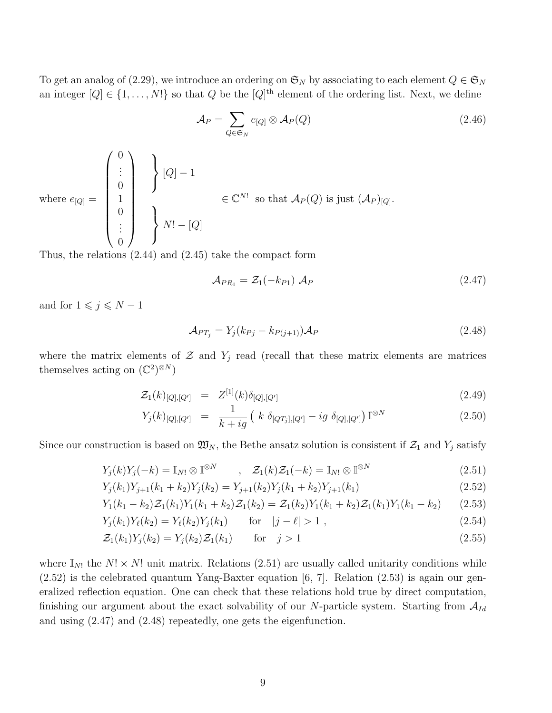To get an analog of (2.29), we introduce an ordering on  $\mathfrak{S}_N$  by associating to each element  $Q \in \mathfrak{S}_N$ an integer  $[Q] \in \{1, \ldots, N!\}$  so that Q be the  $[Q]$ <sup>th</sup> element of the ordering list. Next, we define

$$
\mathcal{A}_P = \sum_{Q \in \mathfrak{S}_N} e_{[Q]} \otimes \mathcal{A}_P(Q) \tag{2.46}
$$

where 
$$
e_{[Q]} = \begin{pmatrix} 0 \\ \vdots \\ 0 \\ 1 \\ \vdots \\ 0 \end{pmatrix} \begin{cases} [Q] - 1 \\ \vdots \\ 0 \end{cases} \in \mathbb{C}^{N!}
$$
 so that  $A_P(Q)$  is just  $(A_P)_{[Q]}$ .

Thus, the relations (2.44) and (2.45) take the compact form

$$
\mathcal{A}_{PR_1} = \mathcal{Z}_1(-k_{P1}) \mathcal{A}_P \tag{2.47}
$$

and for  $1\leqslant j\leqslant N-1$ 

$$
\mathcal{A}_{PT_j} = Y_j(k_{Pj} - k_{P(j+1)})\mathcal{A}_P
$$
\n(2.48)

where the matrix elements of  $\mathcal Z$  and  $Y_j$  read (recall that these matrix elements are matrices themselves acting on  $(\mathbb{C}^2)^{\otimes N}$ 

$$
\mathcal{Z}_1(k)_{[Q],[Q']} = Z^{[1]}(k)\delta_{[Q],[Q']} \tag{2.49}
$$

$$
Y_j(k)_{[Q],[Q']} = \frac{1}{k+ig} \left( k \, \delta_{[QT_j],[Q']} - ig \, \delta_{[Q],[Q']} \right) \mathbb{I}^{\otimes N} \tag{2.50}
$$

Since our construction is based on  $\mathfrak{W}_N$ , the Bethe ansatz solution is consistent if  $\mathcal{Z}_1$  and  $Y_j$  satisfy

$$
Y_j(k)Y_j(-k) = \mathbb{I}_{N!} \otimes \mathbb{I}^{\otimes N} \qquad , \quad \mathcal{Z}_1(k)\mathcal{Z}_1(-k) = \mathbb{I}_{N!} \otimes \mathbb{I}^{\otimes N} \tag{2.51}
$$

$$
Y_j(k_1)Y_{j+1}(k_1+k_2)Y_j(k_2) = Y_{j+1}(k_2)Y_j(k_1+k_2)Y_{j+1}(k_1)
$$
\n(2.52)

$$
Y_1(k_1 - k_2)Z_1(k_1)Y_1(k_1 + k_2)Z_1(k_2) = Z_1(k_2)Y_1(k_1 + k_2)Z_1(k_1)Y_1(k_1 - k_2)
$$
 (2.53)

$$
Y_j(k_1)Y_\ell(k_2) = Y_\ell(k_2)Y_j(k_1) \qquad \text{for} \quad |j - \ell| > 1 \tag{2.54}
$$

$$
\mathcal{Z}_1(k_1)Y_j(k_2) = Y_j(k_2)\mathcal{Z}_1(k_1) \qquad \text{for} \quad j > 1 \tag{2.55}
$$

where  $\mathbb{I}_{N!}$  the  $N! \times N!$  unit matrix. Relations (2.51) are usually called unitarity conditions while (2.52) is the celebrated quantum Yang-Baxter equation [6, 7]. Relation (2.53) is again our generalized reflection equation. One can check that these relations hold true by direct computation, finishing our argument about the exact solvability of our N-particle system. Starting from  $A_{Id}$ and using (2.47) and (2.48) repeatedly, one gets the eigenfunction.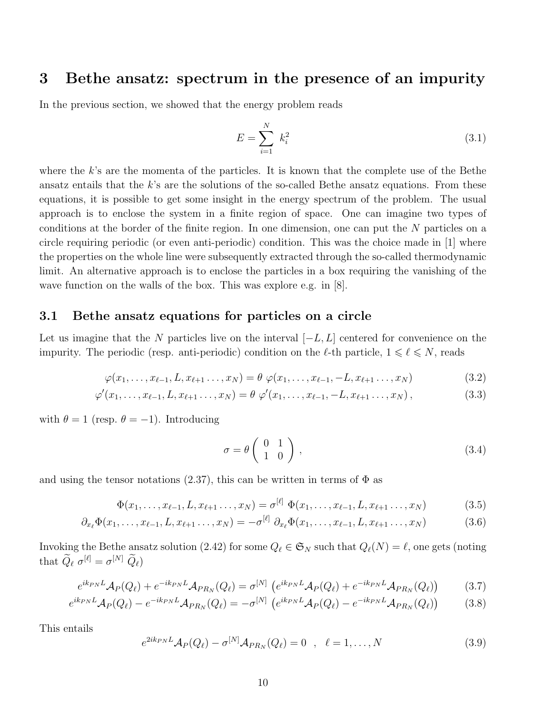## 3 Bethe ansatz: spectrum in the presence of an impurity

In the previous section, we showed that the energy problem reads

$$
E = \sum_{i=1}^{N} k_i^2
$$
 (3.1)

where the  $k$ 's are the momenta of the particles. It is known that the complete use of the Bethe ansatz entails that the k's are the solutions of the so-called Bethe ansatz equations. From these equations, it is possible to get some insight in the energy spectrum of the problem. The usual approach is to enclose the system in a finite region of space. One can imagine two types of conditions at the border of the finite region. In one dimension, one can put the N particles on a circle requiring periodic (or even anti-periodic) condition. This was the choice made in [1] where the properties on the whole line were subsequently extracted through the so-called thermodynamic limit. An alternative approach is to enclose the particles in a box requiring the vanishing of the wave function on the walls of the box. This was explore e.g. in [8].

#### 3.1 Bethe ansatz equations for particles on a circle

Let us imagine that the N particles live on the interval  $[-L, L]$  centered for convenience on the impurity. The periodic (resp. anti-periodic) condition on the  $\ell$ -th particle,  $1 \leq \ell \leq N$ , reads

$$
\varphi(x_1, \dots, x_{\ell-1}, L, x_{\ell+1}, \dots, x_N) = \theta \varphi(x_1, \dots, x_{\ell-1}, -L, x_{\ell+1}, \dots, x_N)
$$
\n(3.2)

$$
\varphi'(x_1, \ldots, x_{\ell-1}, L, x_{\ell+1}, \ldots, x_N) = \theta \varphi'(x_1, \ldots, x_{\ell-1}, -L, x_{\ell+1}, \ldots, x_N), \qquad (3.3)
$$

with  $\theta = 1$  (resp.  $\theta = -1$ ). Introducing

$$
\sigma = \theta \left( \begin{array}{cc} 0 & 1 \\ 1 & 0 \end{array} \right), \tag{3.4}
$$

and using the tensor notations (2.37), this can be written in terms of  $\Phi$  as

$$
\Phi(x_1, \dots, x_{\ell-1}, L, x_{\ell+1}, \dots, x_N) = \sigma^{[\ell]} \Phi(x_1, \dots, x_{\ell-1}, L, x_{\ell+1}, \dots, x_N)
$$
\n(3.5)

$$
\partial_{x_{\ell}} \Phi(x_1, \dots, x_{\ell-1}, L, x_{\ell+1}, \dots, x_N) = -\sigma^{[\ell]} \partial_{x_{\ell}} \Phi(x_1, \dots, x_{\ell-1}, L, x_{\ell+1}, \dots, x_N)
$$
(3.6)

Invoking the Bethe ansatz solution (2.42) for some  $Q_\ell \in \mathfrak{S}_N$  such that  $Q_\ell(N) = \ell$ , one gets (noting that  $\widetilde{Q}_{\ell} \sigma^{[\ell]} = \sigma^{[N]} \; \widetilde{Q}_{\ell}$ 

$$
e^{ik_{PN}L}\mathcal{A}_P(Q_\ell) + e^{-ik_{PN}L}\mathcal{A}_{PR_N}(Q_\ell) = \sigma^{[N]} \left( e^{ik_{PN}L}\mathcal{A}_P(Q_\ell) + e^{-ik_{PN}L}\mathcal{A}_{PR_N}(Q_\ell) \right)
$$
(3.7)

$$
e^{ik_{PN}L} \mathcal{A}_P(Q_\ell) - e^{-ik_{PN}L} \mathcal{A}_{PR_N}(Q_\ell) = -\sigma^{[N]} \left( e^{ik_{PN}L} \mathcal{A}_P(Q_\ell) - e^{-ik_{PN}L} \mathcal{A}_{PR_N}(Q_\ell) \right) \tag{3.8}
$$

This entails

$$
e^{2ik_{PN}L}\mathcal{A}_P(Q_\ell) - \sigma^{[N]}\mathcal{A}_{PR_N}(Q_\ell) = 0 \quad , \quad \ell = 1, \dots, N \tag{3.9}
$$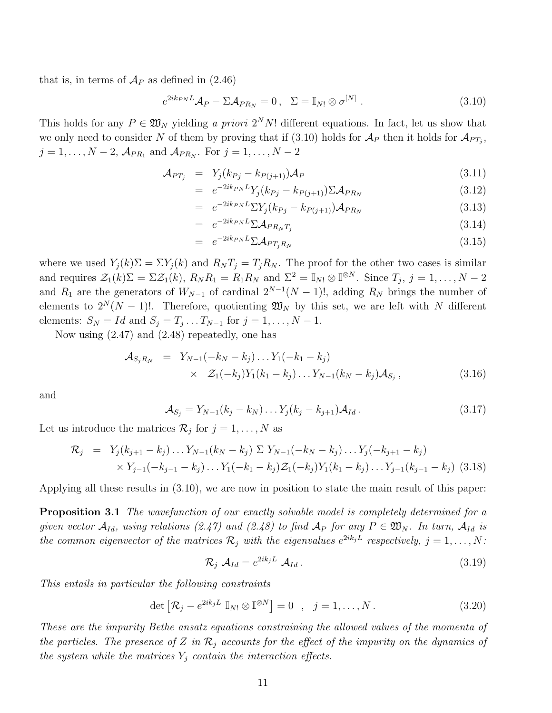that is, in terms of  $\mathcal{A}_P$  as defined in (2.46)

$$
e^{2ik_{PN}L}\mathcal{A}_{P} - \Sigma \mathcal{A}_{PR_{N}} = 0, \quad \Sigma = \mathbb{I}_{N!} \otimes \sigma^{[N]}.
$$
\n(3.10)

This holds for any  $P \in \mathfrak{W}_N$  yielding a priori  $2^N N!$  different equations. In fact, let us show that we only need to consider N of them by proving that if (3.10) holds for  $\mathcal{A}_P$  then it holds for  $\mathcal{A}_{PT_j}$ ,  $j = 1, \ldots, N-2$ ,  $\mathcal{A}_{PR_1}$  and  $\mathcal{A}_{PR_N}$ . For  $j = 1, \ldots, N-2$ 

$$
\mathcal{A}_{PT_j} = Y_j(k_{Pj} - k_{P(j+1)})\mathcal{A}_P \tag{3.11}
$$

$$
= e^{-2ik_{PN}L} Y_j(k_{Pj} - k_{P(j+1)}) \Sigma \mathcal{A}_{PR_N}
$$
\n(3.12)

$$
= e^{-2ik_{PN}L} \Sigma Y_j (k_{Pj} - k_{P(j+1)}) \mathcal{A}_{PR_N}
$$
\n
$$
(3.13)
$$

$$
= e^{-2ik_{PN}L} \Sigma \mathcal{A}_{PR_{N}T_{j}} \tag{3.14}
$$

$$
= e^{-2ik_{PN}L} \Sigma \mathcal{A}_{PT_jR_N} \tag{3.15}
$$

where we used  $Y_i(k)\Sigma = \Sigma Y_i(k)$  and  $R_N T_j = T_j R_N$ . The proof for the other two cases is similar and requires  $\mathcal{Z}_1(k)\Sigma = \Sigma \mathcal{Z}_1(k)$ ,  $R_N R_1 = R_1 R_N$  and  $\Sigma^2 = \mathbb{I}_{N!} \otimes \mathbb{I}^{\otimes N}$ . Since  $T_j$ ,  $j = 1, ..., N-2$ and  $R_1$  are the generators of  $W_{N-1}$  of cardinal  $2^{N-1}(N-1)!$ , adding  $R_N$  brings the number of elements to  $2^N(N-1)!$ . Therefore, quotienting  $\mathfrak{W}_N$  by this set, we are left with N different elements:  $S_N = Id$  and  $S_j = T_j \dots T_{N-1}$  for  $j = 1, \dots, N-1$ .

Now using (2.47) and (2.48) repeatedly, one has

$$
\mathcal{A}_{S_j R_N} = Y_{N-1}(-k_N - k_j) \dots Y_1(-k_1 - k_j) \times \mathcal{Z}_1(-k_j) Y_1(k_1 - k_j) \dots Y_{N-1}(k_N - k_j) \mathcal{A}_{S_j},
$$
\n(3.16)

and

$$
\mathcal{A}_{S_j} = Y_{N-1}(k_j - k_N) \dots Y_j(k_j - k_{j+1}) \mathcal{A}_{Id}.
$$
\n(3.17)

Let us introduce the matrices  $\mathcal{R}_j$  for  $j = 1, \ldots, N$  as

$$
\mathcal{R}_j = Y_j(k_{j+1} - k_j) \dots Y_{N-1}(k_N - k_j) \sum Y_{N-1}(-k_N - k_j) \dots Y_j(-k_{j+1} - k_j)
$$
  
 
$$
\times Y_{j-1}(-k_{j-1} - k_j) \dots Y_1(-k_1 - k_j) \mathcal{Z}_1(-k_j) Y_1(k_1 - k_j) \dots Y_{j-1}(k_{j-1} - k_j) \quad (3.18)
$$

Applying all these results in (3.10), we are now in position to state the main result of this paper:

**Proposition 3.1** The wavefunction of our exactly solvable model is completely determined for a given vector  $\mathcal{A}_{Id}$ , using relations (2.47) and (2.48) to find  $\mathcal{A}_P$  for any  $P \in \mathfrak{W}_N$ . In turn,  $\mathcal{A}_{Id}$  is the common eigenvector of the matrices  $\mathcal{R}_j$  with the eigenvalues  $e^{2ik_jL}$  respectively,  $j = 1, \ldots, N$ :

$$
\mathcal{R}_j \mathcal{A}_{Id} = e^{2ik_jL} \mathcal{A}_{Id}.
$$
\n(3.19)

This entails in particular the following constraints

$$
\det \left[ \mathcal{R}_j - e^{2ik_jL} \mathbb{I}_{N!} \otimes \mathbb{I}^{\otimes N} \right] = 0 \quad , \quad j = 1, \dots, N \, . \tag{3.20}
$$

These are the impurity Bethe ansatz equations constraining the allowed values of the momenta of the particles. The presence of Z in  $\mathcal{R}_j$  accounts for the effect of the impurity on the dynamics of the system while the matrices  $Y_j$  contain the interaction effects.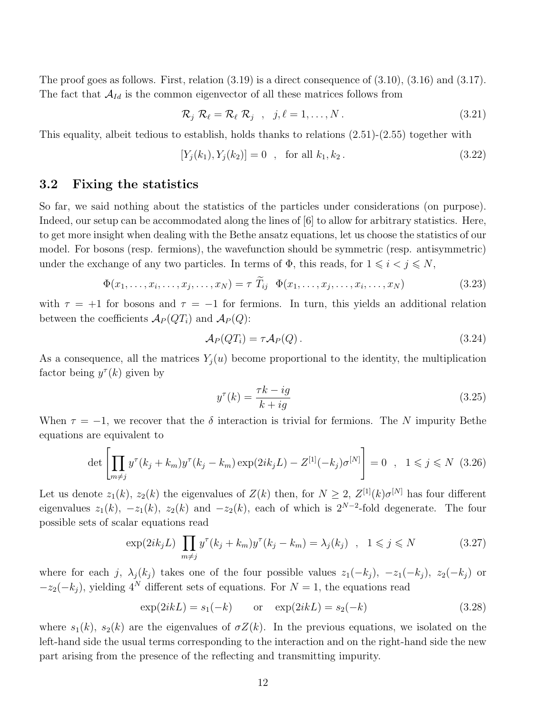The proof goes as follows. First, relation  $(3.19)$  is a direct consequence of  $(3.10)$ ,  $(3.16)$  and  $(3.17)$ . The fact that  $A_{Id}$  is the common eigenvector of all these matrices follows from

$$
\mathcal{R}_j \mathcal{R}_\ell = \mathcal{R}_\ell \mathcal{R}_j \quad , \quad j, \ell = 1, \dots, N \,. \tag{3.21}
$$

This equality, albeit tedious to establish, holds thanks to relations (2.51)-(2.55) together with

$$
[Y_j(k_1), Y_j(k_2)] = 0 \quad \text{for all } k_1, k_2. \tag{3.22}
$$

## 3.2 Fixing the statistics

So far, we said nothing about the statistics of the particles under considerations (on purpose). Indeed, our setup can be accommodated along the lines of [6] to allow for arbitrary statistics. Here, to get more insight when dealing with the Bethe ansatz equations, let us choose the statistics of our model. For bosons (resp. fermions), the wavefunction should be symmetric (resp. antisymmetric) under the exchange of any two particles. In terms of  $\Phi$ , this reads, for  $1 \leq i \leq j \leq N$ ,

$$
\Phi(x_1, \ldots, x_i, \ldots, x_j, \ldots, x_N) = \tau \ \widetilde{T}_{ij} \ \Phi(x_1, \ldots, x_j, \ldots, x_i, \ldots, x_N) \tag{3.23}
$$

with  $\tau = +1$  for bosons and  $\tau = -1$  for fermions. In turn, this yields an additional relation between the coefficients  $\mathcal{A}_P(QT_i)$  and  $\mathcal{A}_P(Q)$ :

$$
\mathcal{A}_P(QT_i) = \tau \mathcal{A}_P(Q). \tag{3.24}
$$

As a consequence, all the matrices  $Y_j(u)$  become proportional to the identity, the multiplication factor being  $y^{\tau}(k)$  given by

$$
y^{\tau}(k) = \frac{\tau k - ig}{k + ig} \tag{3.25}
$$

When  $\tau = -1$ , we recover that the  $\delta$  interaction is trivial for fermions. The N impurity Bethe equations are equivalent to

$$
\det \left[ \prod_{m \neq j} y^{\tau} (k_j + k_m) y^{\tau} (k_j - k_m) \exp(2ik_j L) - Z^{[1]}(-k_j) \sigma^{[N]} \right] = 0 \quad , \quad 1 \leq j \leq N \tag{3.26}
$$

Let us denote  $z_1(k)$ ,  $z_2(k)$  the eigenvalues of  $Z(k)$  then, for  $N \geq 2$ ,  $Z^{[1]}(k)\sigma^{[N]}$  has four different eigenvalues  $z_1(k)$ ,  $-z_1(k)$ ,  $z_2(k)$  and  $-z_2(k)$ , each of which is  $2^{N-2}$ -fold degenerate. The four possible sets of scalar equations read

$$
\exp(2ik_jL)\prod_{m\neq j}y^{\tau}(k_j+k_m)y^{\tau}(k_j-k_m)=\lambda_j(k_j)\quad ,\quad 1\leqslant j\leqslant N\tag{3.27}
$$

where for each j,  $\lambda_j(k_j)$  takes one of the four possible values  $z_1(-k_j)$ ,  $-z_1(-k_j)$ ,  $z_2(-k_j)$  or  $-z_2(-k_i)$ , yielding 4<sup>N</sup> different sets of equations. For  $N=1$ , the equations read

$$
\exp(2ikL) = s_1(-k)
$$
 or  $\exp(2ikL) = s_2(-k)$  (3.28)

where  $s_1(k)$ ,  $s_2(k)$  are the eigenvalues of  $\sigma Z(k)$ . In the previous equations, we isolated on the left-hand side the usual terms corresponding to the interaction and on the right-hand side the new part arising from the presence of the reflecting and transmitting impurity.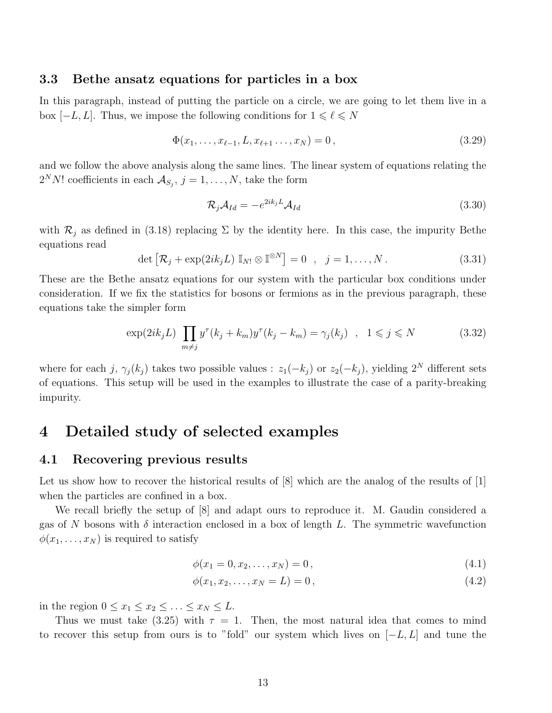## 3.3 Bethe ansatz equations for particles in a box

In this paragraph, instead of putting the particle on a circle, we are going to let them live in a box  $[-L, L]$ . Thus, we impose the following conditions for  $1 \leq \ell \leq N$ 

$$
\Phi(x_1, \dots, x_{\ell-1}, L, x_{\ell+1}, \dots, x_N) = 0, \qquad (3.29)
$$

and we follow the above analysis along the same lines. The linear system of equations relating the  $2^N N!$  coefficients in each  $\mathcal{A}_{S_j}, j = 1, \ldots, N$ , take the form

$$
\mathcal{R}_j \mathcal{A}_{Id} = -e^{2ik_j L} \mathcal{A}_{Id} \tag{3.30}
$$

with  $\mathcal{R}_j$  as defined in (3.18) replacing  $\Sigma$  by the identity here. In this case, the impurity Bethe equations read l<br>E

$$
\det \left[ \mathcal{R}_j + \exp(2ik_jL) \mathbb{I}_{N!} \otimes \mathbb{I}^{\otimes N} \right] = 0 \quad , \quad j = 1, \dots, N \, . \tag{3.31}
$$

These are the Bethe ansatz equations for our system with the particular box conditions under consideration. If we fix the statistics for bosons or fermions as in the previous paragraph, these equations take the simpler form

$$
\exp(2ik_jL)\prod_{m\neq j}y^{\tau}(k_j+k_m)y^{\tau}(k_j-k_m)=\gamma_j(k_j)\quad ,\quad 1\leqslant j\leqslant N\tag{3.32}
$$

where for each j,  $\gamma_i(k_i)$  takes two possible values :  $z_1(-k_i)$  or  $z_2(-k_i)$ , yielding  $2^N$  different sets of equations. This setup will be used in the examples to illustrate the case of a parity-breaking impurity.

## 4 Detailed study of selected examples

#### 4.1 Recovering previous results

Let us show how to recover the historical results of  $[8]$  which are the analog of the results of  $[1]$ when the particles are confined in a box.

We recall briefly the setup of [8] and adapt ours to reproduce it. M. Gaudin considered a gas of N bosons with  $\delta$  interaction enclosed in a box of length L. The symmetric wavefunction  $\phi(x_1, \ldots, x_N)$  is required to satisfy

$$
\phi(x_1 = 0, x_2, \dots, x_N) = 0, \tag{4.1}
$$

$$
\phi(x_1, x_2, \dots, x_N = L) = 0, \tag{4.2}
$$

in the region  $0 \le x_1 \le x_2 \le \ldots \le x_N \le L$ .

Thus we must take (3.25) with  $\tau = 1$ . Then, the most natural idea that comes to mind to recover this setup from ours is to "fold" our system which lives on  $[-L, L]$  and tune the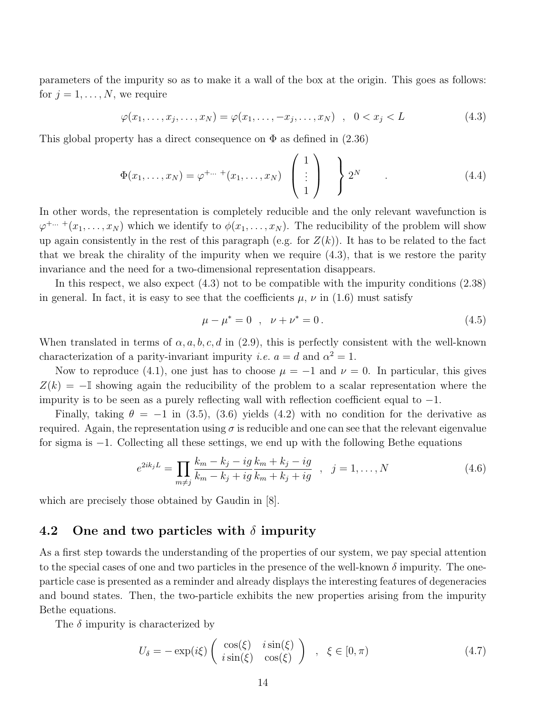parameters of the impurity so as to make it a wall of the box at the origin. This goes as follows: for  $j = 1, \ldots, N$ , we require

$$
\varphi(x_1,\ldots,x_j,\ldots,x_N)=\varphi(x_1,\ldots,-x_j,\ldots,x_N) \quad , \quad 0
$$

This global property has a direct consequence on  $\Phi$  as defined in (2.36)

$$
\Phi(x_1,\ldots,x_N) = \varphi^{+\ldots} (x_1,\ldots,x_N) \begin{pmatrix} 1 \\ \vdots \\ 1 \end{pmatrix} \begin{pmatrix} 1 \\ 2^N \end{pmatrix} \qquad (4.4)
$$

In other words, the representation is completely reducible and the only relevant wavefunction is  $\varphi^{+\dots}$  + $(x_1,\dots,x_N)$  which we identify to  $\phi(x_1,\dots,x_N)$ . The reducibility of the problem will show up again consistently in the rest of this paragraph (e.g. for  $Z(k)$ ). It has to be related to the fact that we break the chirality of the impurity when we require (4.3), that is we restore the parity invariance and the need for a two-dimensional representation disappears.

In this respect, we also expect (4.3) not to be compatible with the impurity conditions (2.38) in general. In fact, it is easy to see that the coefficients  $\mu$ ,  $\nu$  in (1.6) must satisfy

$$
\mu - \mu^* = 0 \quad , \quad \nu + \nu^* = 0 \,. \tag{4.5}
$$

When translated in terms of  $\alpha$ , a, b, c, d in (2.9), this is perfectly consistent with the well-known characterization of a parity-invariant impurity *i.e.*  $a = d$  and  $\alpha^2 = 1$ .

Now to reproduce (4.1), one just has to choose  $\mu = -1$  and  $\nu = 0$ . In particular, this gives  $Z(k) = -\mathbb{I}$  showing again the reducibility of the problem to a scalar representation where the impurity is to be seen as a purely reflecting wall with reflection coefficient equal to −1.

Finally, taking  $\theta = -1$  in (3.5), (3.6) yields (4.2) with no condition for the derivative as required. Again, the representation using  $\sigma$  is reducible and one can see that the relevant eigenvalue for sigma is −1. Collecting all these settings, we end up with the following Bethe equations

$$
e^{2ik_jL} = \prod_{m \neq j} \frac{k_m - k_j - ig}{k_m - k_j + ig} \frac{k_m + k_j - ig}{k_m + k_j + ig} \quad , \quad j = 1, ..., N \tag{4.6}
$$

which are precisely those obtained by Gaudin in [8].

## 4.2 One and two particles with  $\delta$  impurity

As a first step towards the understanding of the properties of our system, we pay special attention to the special cases of one and two particles in the presence of the well-known  $\delta$  impurity. The oneparticle case is presented as a reminder and already displays the interesting features of degeneracies and bound states. Then, the two-particle exhibits the new properties arising from the impurity Bethe equations.

The  $\delta$  impurity is characterized by

$$
U_{\delta} = -\exp(i\xi) \begin{pmatrix} \cos(\xi) & i\sin(\xi) \\ i\sin(\xi) & \cos(\xi) \end{pmatrix} , \xi \in [0, \pi)
$$
 (4.7)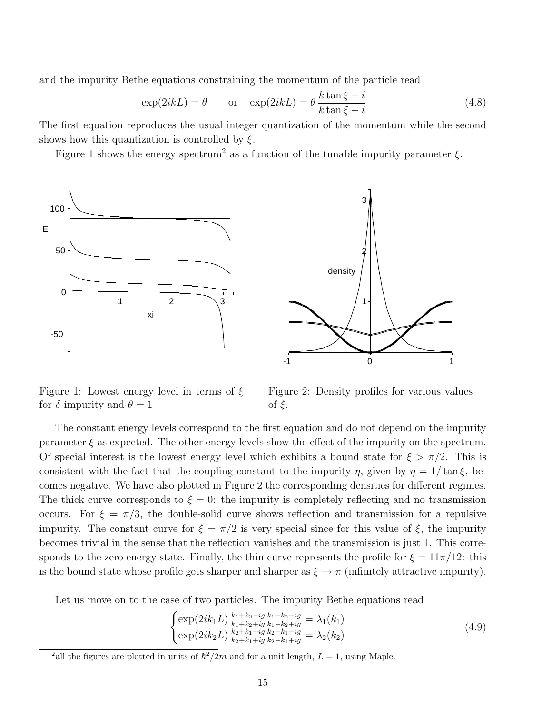and the impurity Bethe equations constraining the momentum of the particle read

$$
\exp(2ikL) = \theta \qquad \text{or} \quad \exp(2ikL) = \theta \frac{k \tan \xi + i}{k \tan \xi - i} \tag{4.8}
$$

The first equation reproduces the usual integer quantization of the momentum while the second shows how this quantization is controlled by  $\xi$ .

Figure 1 shows the energy spectrum<sup>2</sup> as a function of the tunable impurity parameter  $\xi$ .



Figure 1: Lowest energy level in terms of  $\xi$ for  $\delta$  impurity and  $\theta = 1$ 

Figure 2: Density profiles for various values of ξ.

The constant energy levels correspond to the first equation and do not depend on the impurity parameter  $\xi$  as expected. The other energy levels show the effect of the impurity on the spectrum. Of special interest is the lowest energy level which exhibits a bound state for  $\xi > \pi/2$ . This is consistent with the fact that the coupling constant to the impurity  $\eta$ , given by  $\eta = 1/\tan \xi$ , becomes negative. We have also plotted in Figure 2 the corresponding densities for different regimes. The thick curve corresponds to  $\xi = 0$ : the impurity is completely reflecting and no transmission occurs. For  $\xi = \pi/3$ , the double-solid curve shows reflection and transmission for a repulsive impurity. The constant curve for  $\xi = \pi/2$  is very special since for this value of  $\xi$ , the impurity becomes trivial in the sense that the reflection vanishes and the transmission is just 1. This corresponds to the zero energy state. Finally, the thin curve represents the profile for  $\xi = 11\pi/12$ : this is the bound state whose profile gets sharper and sharper as  $\xi \to \pi$  (infinitely attractive impurity).

Let us move on to the case of two particles. The impurity Bethe equations read  $\frac{1}{2}$ 

$$
\begin{cases} \exp(2ik_1L) \frac{k_1 + k_2 - ig}{k_1 + k_2 + ig} \frac{k_1 - k_2 - ig}{k_1 - k_2 + ig} = \lambda_1(k_1) \\ \exp(2ik_2L) \frac{k_2 + k_1 - ig}{k_2 + k_1 + ig} \frac{k_2 - k_1 - ig}{k_2 - k_1 + ig} = \lambda_2(k_2) \end{cases} \tag{4.9}
$$

<sup>&</sup>lt;sup>2</sup> all the figures are plotted in units of  $\hbar^2/2m$  and for a unit length,  $L = 1$ , using Maple.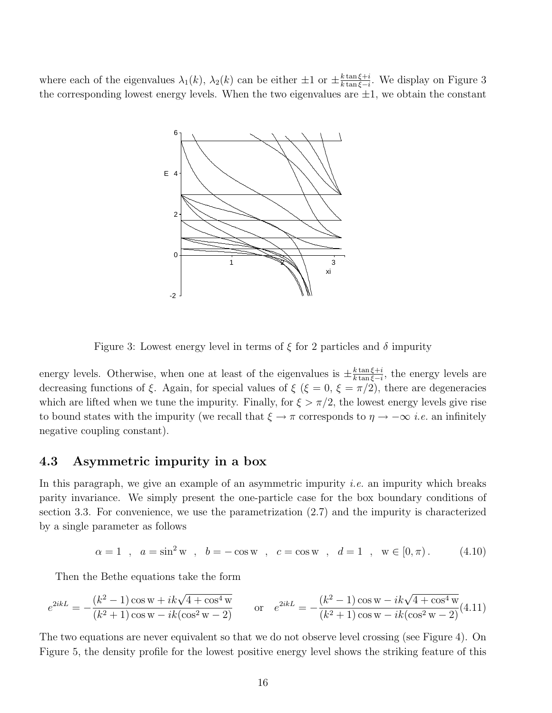where each of the eigenvalues  $\lambda_1(k)$ ,  $\lambda_2(k)$  can be either  $\pm 1$  or  $\pm \frac{k \tan \xi + i}{k \tan \xi - i}$  $\frac{k\tan \xi + i}{k\tan \xi - i}$ . We display on Figure 3 the corresponding lowest energy levels. When the two eigenvalues are  $\pm 1$ , we obtain the constant



Figure 3: Lowest energy level in terms of  $\xi$  for 2 particles and  $\delta$  impurity

energy levels. Otherwise, when one at least of the eigenvalues is  $\pm \frac{k \tan \xi + i}{k \tan \xi - i}$  $\frac{k \tan \xi + i}{k \tan \xi - i}$ , the energy levels are decreasing functions of  $\xi$ . Again, for special values of  $\xi$  ( $\xi = 0$ ,  $\xi = \pi/2$ ), there are degeneracies which are lifted when we tune the impurity. Finally, for  $\xi > \pi/2$ , the lowest energy levels give rise to bound states with the impurity (we recall that  $\xi \to \pi$  corresponds to  $\eta \to -\infty$  *i.e.* an infinitely negative coupling constant).

## 4.3 Asymmetric impurity in a box

In this paragraph, we give an example of an asymmetric impurity *i.e.* an impurity which breaks parity invariance. We simply present the one-particle case for the box boundary conditions of section 3.3. For convenience, we use the parametrization (2.7) and the impurity is characterized by a single parameter as follows

$$
\alpha = 1
$$
,  $a = \sin^2 w$ ,  $b = -\cos w$ ,  $c = \cos w$ ,  $d = 1$ ,  $w \in [0, \pi)$ . (4.10)

Then the Bethe equations take the form

$$
e^{2ikL} = -\frac{(k^2 - 1)\cos w + ik\sqrt{4 + \cos^4 w}}{(k^2 + 1)\cos w - ik(\cos^2 w - 2)}
$$
 or 
$$
e^{2ikL} = -\frac{(k^2 - 1)\cos w - ik\sqrt{4 + \cos^4 w}}{(k^2 + 1)\cos w - ik(\cos^2 w - 2)}(4.11)
$$

The two equations are never equivalent so that we do not observe level crossing (see Figure 4). On Figure 5, the density profile for the lowest positive energy level shows the striking feature of this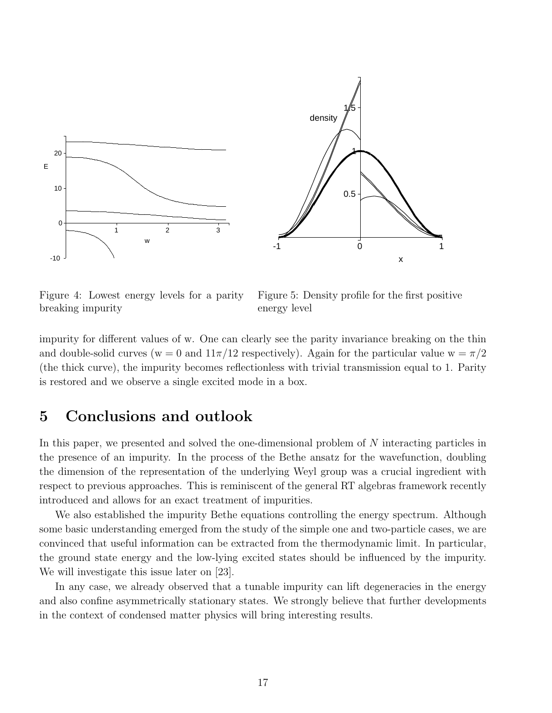

Figure 4: Lowest energy levels for a parity breaking impurity

Figure 5: Density profile for the first positive energy level

impurity for different values of w. One can clearly see the parity invariance breaking on the thin and double-solid curves (w = 0 and  $11\pi/12$  respectively). Again for the particular value w =  $\pi/2$ (the thick curve), the impurity becomes reflectionless with trivial transmission equal to 1. Parity is restored and we observe a single excited mode in a box.

## 5 Conclusions and outlook

In this paper, we presented and solved the one-dimensional problem of N interacting particles in the presence of an impurity. In the process of the Bethe ansatz for the wavefunction, doubling the dimension of the representation of the underlying Weyl group was a crucial ingredient with respect to previous approaches. This is reminiscent of the general RT algebras framework recently introduced and allows for an exact treatment of impurities.

We also established the impurity Bethe equations controlling the energy spectrum. Although some basic understanding emerged from the study of the simple one and two-particle cases, we are convinced that useful information can be extracted from the thermodynamic limit. In particular, the ground state energy and the low-lying excited states should be influenced by the impurity. We will investigate this issue later on [23].

In any case, we already observed that a tunable impurity can lift degeneracies in the energy and also confine asymmetrically stationary states. We strongly believe that further developments in the context of condensed matter physics will bring interesting results.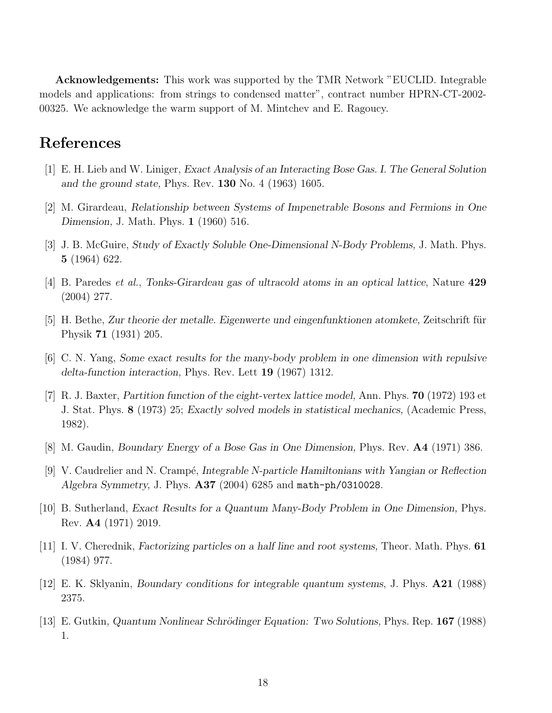Acknowledgements: This work was supported by the TMR Network "EUCLID. Integrable models and applications: from strings to condensed matter", contract number HPRN-CT-2002- 00325. We acknowledge the warm support of M. Mintchev and E. Ragoucy.

## References

- [1] E. H. Lieb and W. Liniger, Exact Analysis of an Interacting Bose Gas. I. The General Solution and the ground state, Phys. Rev. 130 No. 4 (1963) 1605.
- [2] M. Girardeau, Relationship between Systems of Impenetrable Bosons and Fermions in One Dimension, J. Math. Phys. 1 (1960) 516.
- [3] J. B. McGuire, Study of Exactly Soluble One-Dimensional N-Body Problems, J. Math. Phys. 5 (1964) 622.
- [4] B. Paredes et al., Tonks-Girardeau gas of ultracold atoms in an optical lattice, Nature 429 (2004) 277.
- [5] H. Bethe, Zur theorie der metalle. Eigenwerte und eingenfunktionen atomkete, Zeitschrift für Physik 71 (1931) 205.
- [6] C. N. Yang, Some exact results for the many-body problem in one dimension with repulsive delta-function interaction, Phys. Rev. Lett 19 (1967) 1312.
- [7] R. J. Baxter, Partition function of the eight-vertex lattice model, Ann. Phys. 70 (1972) 193 et J. Stat. Phys. 8 (1973) 25; Exactly solved models in statistical mechanics, (Academic Press, 1982).
- [8] M. Gaudin, Boundary Energy of a Bose Gas in One Dimension, Phys. Rev. A4 (1971) 386.
- [9] V. Caudrelier and N. Crampé, Integrable N-particle Hamiltonians with Yangian or Reflection Algebra Symmetry, J. Phys. A37 (2004) 6285 and math-ph/0310028.
- [10] B. Sutherland, Exact Results for a Quantum Many-Body Problem in One Dimension, Phys. Rev. A4 (1971) 2019.
- [11] I. V. Cherednik, Factorizing particles on a half line and root systems, Theor. Math. Phys. 61 (1984) 977.
- [12] E. K. Sklyanin, Boundary conditions for integrable quantum systems, J. Phys. A21 (1988) 2375.
- [13] E. Gutkin, Quantum Nonlinear Schrödinger Equation: Two Solutions, Phys. Rep. 167 (1988) 1.